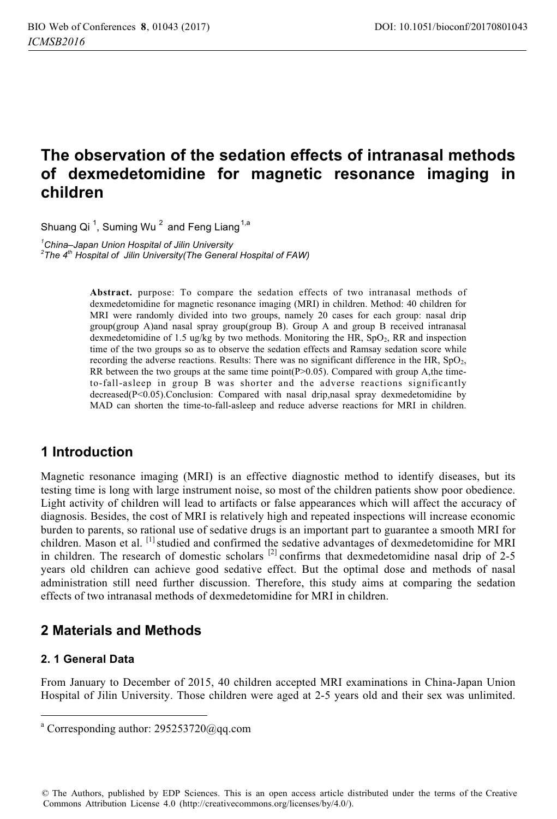# **The observation of the sedation effects of intranasal methods of dexmedetomidine for magnetic resonance imaging in children**

Shuang Qi  $^1$ , Suming Wu  $^2$  and Feng Liang  $^{1,a}$ 

*1 China–Japan Union Hospital of Jilin University 2 The 4th Hospital of Jilin University(The General Hospital of FAW)* 

> **Abstract.** purpose: To compare the sedation effects of two intranasal methods of dexmedetomidine for magnetic resonance imaging (MRI) in children. Method: 40 children for MRI were randomly divided into two groups, namely 20 cases for each group: nasal drip group(group A)and nasal spray group(group B). Group A and group B received intranasal dexmedetomidine of 1.5 ug/kg by two methods. Monitoring the HR,  $SpO<sub>2</sub>$ , RR and inspection time of the two groups so as to observe the sedation effects and Ramsay sedation score while recording the adverse reactions. Results: There was no significant difference in the HR, SpO<sub>2</sub>, RR between the two groups at the same time point( $P>0.05$ ). Compared with group A,the timeto-fall-asleep in group B was shorter and the adverse reactions significantly decreased(P<0.05).Conclusion: Compared with nasal drip,nasal spray dexmedetomidine by MAD can shorten the time-to-fall-asleep and reduce adverse reactions for MRI in children.

# **1 Introduction**

Magnetic resonance imaging (MRI) is an effective diagnostic method to identify diseases, but its testing time is long with large instrument noise, so most of the children patients show poor obedience. Light activity of children will lead to artifacts or false appearances which will affect the accuracy of diagnosis. Besides, the cost of MRI is relatively high and repeated inspections will increase economic burden to parents, so rational use of sedative drugs is an important part to guarantee a smooth MRI for children. Mason et al. [1] studied and confirmed the sedative advantages of dexmedetomidine for MRI in children. The research of domestic scholars  $^{[2]}$  confirms that dexmedetomidine nasal drip of 2-5 years old children can achieve good sedative effect. But the optimal dose and methods of nasal administration still need further discussion. Therefore, this study aims at comparing the sedation effects of two intranasal methods of dexmedetomidine for MRI in children.

# **2 Materials and Methods**

### **2. 1 General Data**

 $\overline{a}$ 

From January to December of 2015, 40 children accepted MRI examinations in China-Japan Union Hospital of Jilin University. Those children were aged at 2-5 years old and their sex was unlimited.

© The Authors, published by EDP Sciences. This is an open access article distributed under the terms of the Creative Commons Attribution License 4.0 (http://creativecommons.org/licenses/by/4.0/).

a Corresponding author: 295253720@qq.com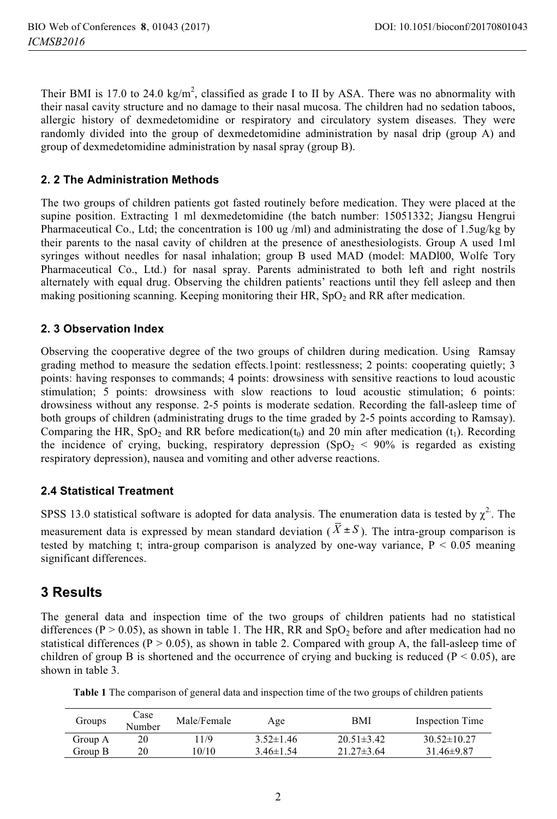Their BMI is 17.0 to 24.0  $\text{kg/m}^2$ , classified as grade I to II by ASA. There was no abnormality with their nasal cavity structure and no damage to their nasal mucosa. The children had no sedation taboos, allergic history of dexmedetomidine or respiratory and circulatory system diseases. They were randomly divided into the group of dexmedetomidine administration by nasal drip (group A) and group of dexmedetomidine administration by nasal spray (group B).

#### **2. 2 The Administration Methods**

The two groups of children patients got fasted routinely before medication. They were placed at the supine position. Extracting 1 ml dexmedetomidine (the batch number: 15051332; Jiangsu Hengrui Pharmaceutical Co., Ltd; the concentration is 100 ug /ml) and administrating the dose of 1.5ug/kg by their parents to the nasal cavity of children at the presence of anesthesiologists. Group A used 1ml syringes without needles for nasal inhalation; group B used MAD (model: MADl00, Wolfe Tory Pharmaceutical Co., Ltd.) for nasal spray. Parents administrated to both left and right nostrils alternately with equal drug. Observing the children patients' reactions until they fell asleep and then making positioning scanning. Keeping monitoring their HR,  $SpO<sub>2</sub>$  and RR after medication.

#### **2. 3 Observation Index**

Observing the cooperative degree of the two groups of children during medication. Using Ramsay grading method to measure the sedation effects.1point: restlessness; 2 points: cooperating quietly; 3 points: having responses to commands; 4 points: drowsiness with sensitive reactions to loud acoustic stimulation; 5 points: drowsiness with slow reactions to loud acoustic stimulation; 6 points: drowsiness without any response. 2-5 points is moderate sedation. Recording the fall-asleep time of both groups of children (administrating drugs to the time graded by 2-5 points according to Ramsay). Comparing the HR, SpO<sub>2</sub> and RR before medication( $t_0$ ) and 20 min after medication ( $t_1$ ). Recording the incidence of crying, bucking, respiratory depression (SpO<sub>2</sub> < 90% is regarded as existing respiratory depression), nausea and vomiting and other adverse reactions.

#### **2.4 Statistical Treatment**

SPSS 13.0 statistical software is adopted for data analysis. The enumeration data is tested by  $\chi^2$ . The measurement data is expressed by mean standard deviation ( $\bar{X} \pm S$ ). The intra-group comparison is tested by matching t; intra-group comparison is analyzed by one-way variance,  $P < 0.05$  meaning significant differences.

### **3 Results**

The general data and inspection time of the two groups of children patients had no statistical differences (P > 0.05), as shown in table 1. The HR, RR and  $SpO<sub>2</sub>$  before and after medication had no statistical differences ( $P > 0.05$ ), as shown in table 2. Compared with group A, the fall-asleep time of children of group B is shortened and the occurrence of crying and bucking is reduced ( $P < 0.05$ ), are shown in table 3.

**Table 1** The comparison of general data and inspection time of the two groups of children patients

| Groups  | Case<br>Number | Male/Female | Age             | BMI              | Inspection Time   |
|---------|----------------|-------------|-----------------|------------------|-------------------|
| Group A | 20             | 1/9         | $3.52 \pm 1.46$ | $20.51 \pm 3.42$ | $30.52 \pm 10.27$ |
| Group B | 20             | 10/10       | $3.46 \pm 1.54$ | $21.27\pm3.64$   | $31.46 \pm 9.87$  |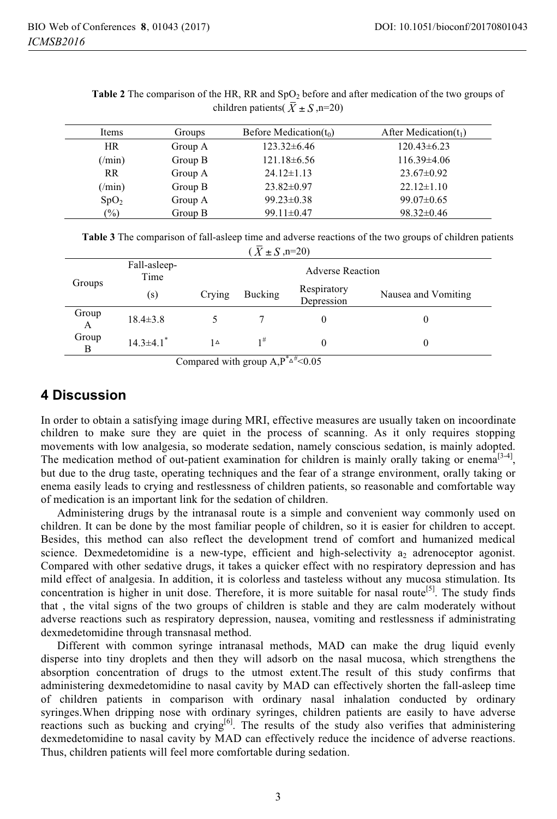| Items            | Groups  | Before Medication $(t_0)$ | After Medication $(t_1)$ |
|------------------|---------|---------------------------|--------------------------|
| <b>HR</b>        | Group A | $123.32\pm 6.46$          | $120.43\pm 6.23$         |
| $(\text{min})$   | Group B | $121.18\pm 6.56$          | $116.39\pm4.06$          |
| <b>RR</b>        | Group A | $24.12 \pm 1.13$          | $23.67 \pm 0.92$         |
| $(\text{min})$   | Group B | $23.82 \pm 0.97$          | $22.12 \pm 1.10$         |
| SpO <sub>2</sub> | Group A | $99.23 \pm 0.38$          | $99.07 \pm 0.65$         |
| $(\%)$           | Group B | $99.11 \pm 0.47$          | $98.32 \pm 0.46$         |

**Table 2** The comparison of the HR, RR and SpO<sub>2</sub> before and after medication of the two groups of children patients( $\overline{X} \pm S$ , n=20)

**Table 3** The comparison of fall-asleep time and adverse reactions of the two groups of children patients  $(\bar{X} + S \cdot n = 20)$ 

| Groups     | Fall-asleep-<br>Time        |        | <b>Adverse Reaction</b> |                           |                     |  |
|------------|-----------------------------|--------|-------------------------|---------------------------|---------------------|--|
|            | (s)                         | Crying | Bucking                 | Respiratory<br>Depression | Nausea and Vomiting |  |
| Group<br>A | $18.4 \pm 3.8$              |        |                         |                           |                     |  |
| Group<br>В | $14.3 \pm 4.1$ <sup>*</sup> | 1۵     | $1^{\#}$                | - -                       | 0                   |  |

Compared with group  $A, P^* \triangle^{\#} < 0.05$ 

### **4 Discussion**

In order to obtain a satisfying image during MRI, effective measures are usually taken on incoordinate children to make sure they are quiet in the process of scanning. As it only requires stopping movements with low analgesia, so moderate sedation, namely conscious sedation, is mainly adopted. The medication method of out-patient examination for children is mainly orally taking or enema<sup>[3-4]</sup>, but due to the drug taste, operating techniques and the fear of a strange environment, orally taking or enema easily leads to crying and restlessness of children patients, so reasonable and comfortable way of medication is an important link for the sedation of children.

Administering drugs by the intranasal route is a simple and convenient way commonly used on children. It can be done by the most familiar people of children, so it is easier for children to accept. Besides, this method can also reflect the development trend of comfort and humanized medical science. Dexmedetomidine is a new-type, efficient and high-selectivity  $a_2$  adrenoceptor agonist. Compared with other sedative drugs, it takes a quicker effect with no respiratory depression and has mild effect of analgesia. In addition, it is colorless and tasteless without any mucosa stimulation. Its concentration is higher in unit dose. Therefore, it is more suitable for nasal route<sup>[5]</sup>. The study finds that , the vital signs of the two groups of children is stable and they are calm moderately without adverse reactions such as respiratory depression, nausea, vomiting and restlessness if administrating dexmedetomidine through transnasal method.

Different with common syringe intranasal methods, MAD can make the drug liquid evenly disperse into tiny droplets and then they will adsorb on the nasal mucosa, which strengthens the absorption concentration of drugs to the utmost extent.The result of this study confirms that administering dexmedetomidine to nasal cavity by MAD can effectively shorten the fall-asleep time of children patients in comparison with ordinary nasal inhalation conducted by ordinary syringes.When dripping nose with ordinary syringes, children patients are easily to have adverse reactions such as bucking and crying<sup>[6]</sup>. The results of the study also verifies that administering dexmedetomidine to nasal cavity by MAD can effectively reduce the incidence of adverse reactions. Thus, children patients will feel more comfortable during sedation.